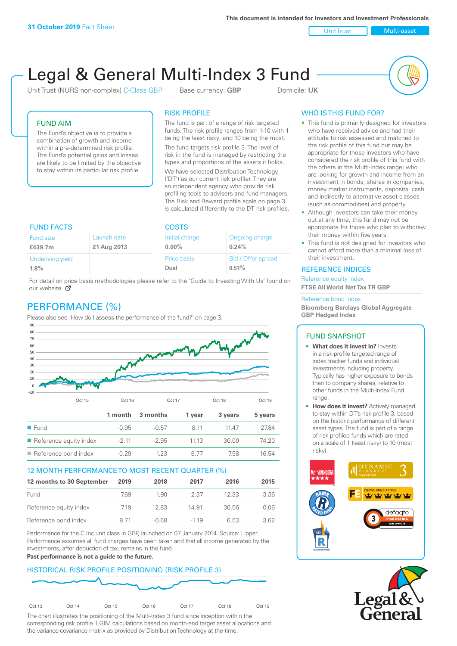**This document is intended for Investors and Investment Professionals**

Unit Trust Nulti-asset

# Legal & General Multi-Index 3 Fund

Unit Trust (NURS non-complex) C-Class GBP Base currency: **GBP** Domicile: UK



## FUND AIM

The Fund's objective is to provide a combination of growth and income within a pre-determined risk profile. The Fund's potential gains and losses are likely to be limited by the objective to stay within its particular risk profile.

## RISK PROFILE

The fund is part of a range of risk targeted funds. The risk profile ranges from 1-10 with 1 being the least risky, and 10 being the most.

The fund targets risk profile 3. The level of risk in the fund is managed by restricting the types and proportions of the assets it holds. We have selected Distribution Technology ('DT') as our current risk profiler. They are an independent agency who provide risk profiling tools to advisers and fund managers. The Risk and Reward profile scale on page 3 is calculated differently to the DT risk profiles.

| <b>FUND FACTS</b> |             | <b>COSTS</b>   |                    |  |
|-------------------|-------------|----------------|--------------------|--|
| Fund size         | Launch date | Initial charge | Ongoing charge     |  |
| £439.7m           | 21 Aug 2013 | $0.00\%$       | 0.24%              |  |
| Underlying yield  |             | Price basis    | Bid / Offer spread |  |
| 1.8%              |             | Dual           | 0.51%              |  |

For detail on price basis methodologies please refer to the 'Guide to Investing With Us' found on our website. Ø

# PERFORMANCE (%)

Please also see 'How do I assess the performance of the fund?' on page 3.



## 12 MONTH PERFORMANCE TO MOST RECENT QUARTER (%)

| 12 months to 30 September | 2019 | 2018    | 2017   | 2016  | 2015 |
|---------------------------|------|---------|--------|-------|------|
| Fund                      | 7.69 | 1.90    | 2.37   | 12.33 | 3.36 |
| Reference equity index    | 7.19 | 12.83   | 14.91  | 30.56 | 0.06 |
| Reference bond index      | 8 71 | $-0.68$ | $-119$ | 6.53  | 362  |

Performance for the C Inc unit class in GBP, launched on 07 January 2014. Source: Lipper. Performance assumes all fund charges have been taken and that all income generated by the investments, after deduction of tax, remains in the fund.

#### **Past performance is not a guide to the future.**

## HISTORICAL RISK PROFILE POSITIONING (RISK PROFILE 3)



The chart illustrates the positioning of the Multi-Index 3 fund since inception within the corresponding risk profile. LGIM calculations based on month-end target asset allocations and the variance-covariance matrix as provided by Distribution Technology at the time.

# WHO IS THIS FUND FOR?

- This fund is primarily designed for investors: who have received advice and had their attitude to risk assessed and matched to the risk profile of this fund but may be appropriate for those investors who have considered the risk profile of this fund with the others in the Multi-Index range; who are looking for growth and income from an investment in bonds, shares in companies, money market instruments, deposits, cash and indirectly to alternative asset classes (such as commodities) and property.
- Although investors can take their money out at any time, this fund may not be appropriate for those who plan to withdraw their money within five years.
- This fund is not designed for investors who cannot afford more than a minimal loss of their investment.

## REFERENCE INDICES

Reference equity index **FTSE All World Net Tax TR GBP**

#### Reference bond index

**Bloomberg Barclays Global Aggregate GBP Hedged Index**

#### FUND SNAPSHOT

- **• What does it invest in?** Invests in a risk-profile targeted range of index tracker funds and individual investments including property. Typically has higher exposure to bonds than to company shares, relative to other funds in the Multi-Index Fund range.
- **• How does it invest?** Actively managed to stay within DT's risk profile 3, based on the historic performance of different asset types. The fund is part of a range of risk profiled funds which are rated on a scale of 1 (least risky) to 10 (most risky).



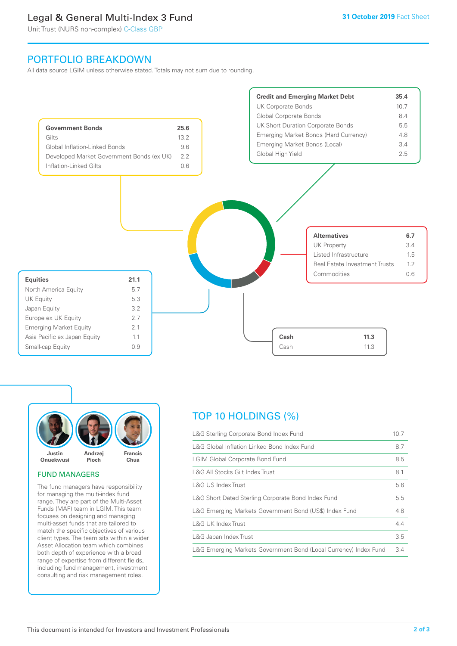# Legal & General Multi-Index 3 Fund

Unit Trust (NURS non-complex) C-Class GBP

# PORTFOLIO BREAKDOWN

All data source LGIM unless otherwise stated. Totals may not sum due to rounding.





## FUND MANAGERS

The fund managers have responsibility for managing the multi-index fund range. They are part of the Multi-Asset Funds (MAF) team in LGIM. This team focuses on designing and managing multi-asset funds that are tailored to match the specific objectives of various client types. The team sits within a wider Asset Allocation team which combines both depth of experience with a broad range of expertise from different fields, including fund management, investment consulting and risk management roles.

# TOP 10 HOLDINGS (%)

| L&G Sterling Corporate Bond Index Fund                           | 10.7 |
|------------------------------------------------------------------|------|
| L&G Global Inflation Linked Bond Index Fund                      | 8.7  |
| <b>LGIM Global Corporate Bond Fund</b>                           | 8.5  |
| L&G All Stocks Gilt Index Trust                                  | 8.1  |
| L&G US Index Trust                                               | 5.6  |
| L&G Short Dated Sterling Corporate Bond Index Fund               | 5.5  |
| L&G Emerging Markets Government Bond (US\$) Index Fund           | 4.8  |
| L&G UK Index Trust                                               | 4.4  |
| L&G Japan Index Trust                                            | 3.5  |
| L&G Emerging Markets Government Bond (Local Currency) Index Fund | 3.4  |